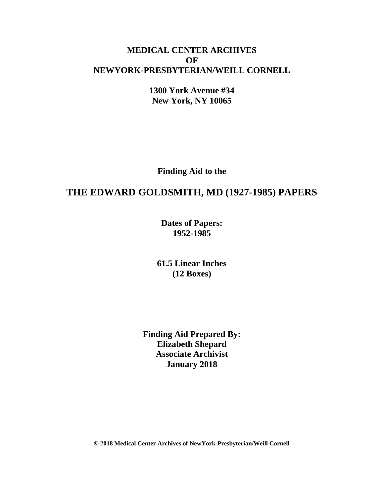## **MEDICAL CENTER ARCHIVES OF NEWYORK-PRESBYTERIAN/WEILL CORNELL**

**1300 York Avenue #34 New York, NY 10065**

**Finding Aid to the**

# **THE EDWARD GOLDSMITH, MD (1927-1985) PAPERS**

**Dates of Papers: 1952-1985**

**61.5 Linear Inches (12 Boxes)**

**Finding Aid Prepared By: Elizabeth Shepard Associate Archivist January 2018**

**© 2018 Medical Center Archives of NewYork-Presbyterian/Weill Cornell**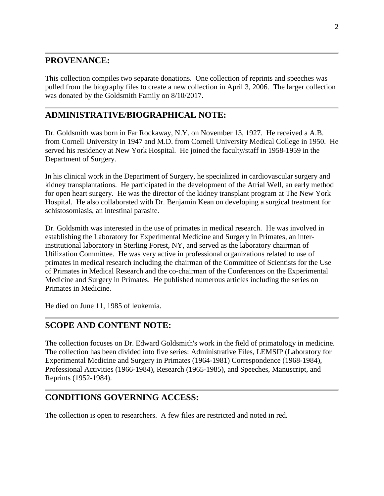## **PROVENANCE:**

This collection compiles two separate donations. One collection of reprints and speeches was pulled from the biography files to create a new collection in April 3, 2006. The larger collection was donated by the Goldsmith Family on 8/10/2017.

# **ADMINISTRATIVE/BIOGRAPHICAL NOTE:**

Dr. Goldsmith was born in Far Rockaway, N.Y. on November 13, 1927. He received a A.B. from Cornell University in 1947 and M.D. from Cornell University Medical College in 1950. He served his residency at New York Hospital. He joined the faculty/staff in 1958-1959 in the Department of Surgery.

In his clinical work in the Department of Surgery, he specialized in cardiovascular surgery and kidney transplantations. He participated in the development of the Atrial Well, an early method for open heart surgery. He was the director of the kidney transplant program at The New York Hospital. He also collaborated with Dr. Benjamin Kean on developing a surgical treatment for schistosomiasis, an intestinal parasite.

Dr. Goldsmith was interested in the use of primates in medical research. He was involved in establishing the Laboratory for Experimental Medicine and Surgery in Primates, an interinstitutional laboratory in Sterling Forest, NY, and served as the laboratory chairman of Utilization Committee. He was very active in professional organizations related to use of primates in medical research including the chairman of the Committee of Scientists for the Use of Primates in Medical Research and the co-chairman of the Conferences on the Experimental Medicine and Surgery in Primates. He published numerous articles including the series on Primates in Medicine.

He died on June 11, 1985 of leukemia.

## **SCOPE AND CONTENT NOTE:**

The collection focuses on Dr. Edward Goldsmith's work in the field of primatology in medicine. The collection has been divided into five series: Administrative Files, LEMSIP (Laboratory for Experimental Medicine and Surgery in Primates (1964-1981) Correspondence (1968-1984), Professional Activities (1966-1984), Research (1965-1985), and Speeches, Manuscript, and Reprints (1952-1984).

## **CONDITIONS GOVERNING ACCESS:**

The collection is open to researchers. A few files are restricted and noted in red.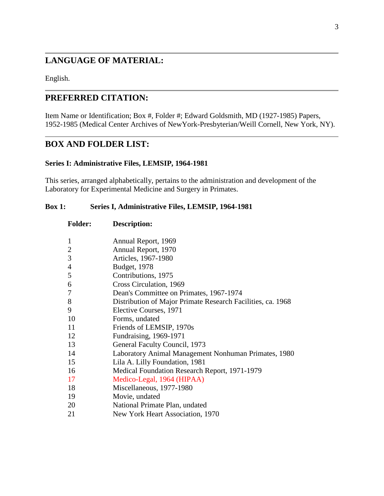# **LANGUAGE OF MATERIAL:**

English.

## **PREFERRED CITATION:**

Item Name or Identification; Box #, Folder #; Edward Goldsmith, MD (1927-1985) Papers, 1952-1985 (Medical Center Archives of NewYork-Presbyterian/Weill Cornell, New York, NY).

## **BOX AND FOLDER LIST:**

#### **Series I: Administrative Files, LEMSIP, 1964-1981**

This series, arranged alphabetically, pertains to the administration and development of the Laboratory for Experimental Medicine and Surgery in Primates.

### **Box 1: Series I, Administrative Files, LEMSIP, 1964-1981**

| <b>Folder:</b> | Description:                                                |
|----------------|-------------------------------------------------------------|
| 1              | Annual Report, 1969                                         |
| $\overline{c}$ | Annual Report, 1970                                         |
| 3              | Articles, 1967-1980                                         |
| 4              | Budget, 1978                                                |
| 5              | Contributions, 1975                                         |
| 6              | Cross Circulation, 1969                                     |
| 7              | Dean's Committee on Primates, 1967-1974                     |
| 8              | Distribution of Major Primate Research Facilities, ca. 1968 |
| 9              | Elective Courses, 1971                                      |
| 10             | Forms, undated                                              |
| 11             | Friends of LEMSIP, 1970s                                    |
| 12             | Fundraising, 1969-1971                                      |
| 13             | General Faculty Council, 1973                               |
| 14             | Laboratory Animal Management Nonhuman Primates, 1980        |
| 15             | Lila A. Lilly Foundation, 1981                              |
| 16             | Medical Foundation Research Report, 1971-1979               |
| 17             | Medico-Legal, 1964 (HIPAA)                                  |
| 18             | Miscellaneous, 1977-1980                                    |
| 19             | Movie, undated                                              |
| 20             | National Primate Plan, undated                              |
| 21             | New York Heart Association, 1970                            |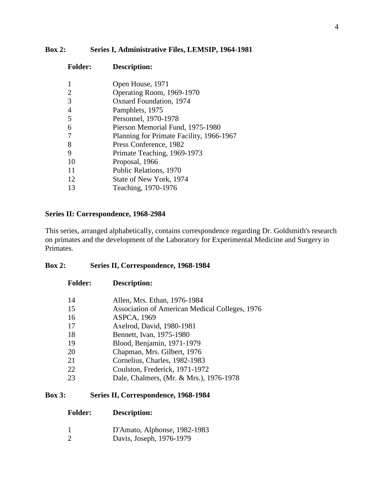### **Box 2: Series I, Administrative Files, LEMSIP, 1964-1981**

| <b>Folder:</b> | Description:                             |
|----------------|------------------------------------------|
|                | Open House, 1971                         |
| 2              | Operating Room, 1969-1970                |
| 3              | <b>Oxnard Foundation</b> , 1974          |
| $\overline{4}$ | Pamphlets, 1975                          |
| 5              | Personnel, 1970-1978                     |
| 6              | Pierson Memorial Fund, 1975-1980         |
|                | Planning for Primate Facility, 1966-1967 |
| 8              | Press Conference, 1982                   |
| 9              | Primate Teaching, 1969-1973              |
| 10             | Proposal, 1966                           |
| 11             | Public Relations, 1970                   |
| 12             | State of New York, 1974                  |
| 13             | Teaching, 1970-1976                      |

### **Series II: Correspondence, 1968-2984**

**Folder: Description:**

This series, arranged alphabetically, contains correspondence regarding Dr. Goldsmith's research on primates and the development of the Laboratory for Experimental Medicine and Surgery in Primates.

### **Box 2: Series II, Correspondence, 1968-1984**

| 14 | Allen, Mrs. Ethan, 1976-1984                   |
|----|------------------------------------------------|
| 15 | Association of American Medical Colleges, 1976 |
| 16 | <b>ASPCA, 1969</b>                             |
| 17 | Axelrod, David, 1980-1981                      |
| 18 | Bennett, Ivan, 1975-1980                       |
| 19 | Blood, Benjamin, 1971-1979                     |
| 20 | Chapman, Mrs. Gilbert, 1976                    |
| 21 | Cornelius, Charles, 1982-1983                  |
| 22 | Coulston, Frederick, 1971-1972                 |
| 23 | Dale, Chalmers, (Mr. & Mrs.), 1976-1978        |
|    |                                                |

## **Box 3: Series II, Correspondence, 1968-1984**

#### **Folder: Description:**

- D'Amato, Alphonse, 1982-1983
- Davis, Joseph, 1976-1979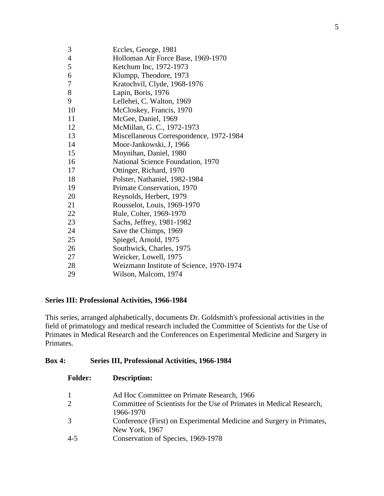| Eccles, George, 1981                     |
|------------------------------------------|
| Holloman Air Force Base, 1969-1970       |
| Ketchum Inc, 1972-1973                   |
| Klumpp, Theodore, 1973                   |
| Kratochvil, Clyde, 1968-1976             |
| Lapin, Boris, 1976                       |
| Lellehei, C. Walton, 1969                |
| McCloskey, Francis, 1970                 |
| McGee, Daniel, 1969                      |
| McMillan, G. C., 1972-1973               |
| Miscellaneous Correspondence, 1972-1984  |
| Moor-Jankowski, J, 1966                  |
| Moynihan, Daniel, 1980                   |
| National Science Foundation, 1970        |
| Ottinger, Richard, 1970                  |
| Polster, Nathaniel, 1982-1984            |
| Primate Conservation, 1970               |
| Reynolds, Herbert, 1979                  |
| Rousselot, Louis, 1969-1970              |
| Rule, Colter, 1969-1970                  |
| Sachs, Jeffrey, 1981-1982                |
| Save the Chimps, 1969                    |
| Spiegel, Arnold, 1975                    |
| Southwick, Charles, 1975                 |
| Weicker, Lowell, 1975                    |
| Weizmann Institute of Science, 1970-1974 |
| Wilson, Malcom, 1974                     |
|                                          |

### **Series III: Professional Activities, 1966-1984**

This series, arranged alphabetically, documents Dr. Goldsmith's professional activities in the field of primatology and medical research included the Committee of Scientists for the Use of Primates in Medical Research and the Conferences on Experimental Medicine and Surgery in Primates.

### **Box 4: Series III, Professional Activities, 1966-1984**

| <b>Folder:</b> | <b>Description:</b>                                                                    |
|----------------|----------------------------------------------------------------------------------------|
|                | Ad Hoc Committee on Primate Research, 1966                                             |
| $\overline{2}$ | Committee of Scientists for the Use of Primates in Medical Research,<br>1966-1970      |
| 3              | Conference (First) on Experimental Medicine and Surgery in Primates,<br>New York, 1967 |
| 4-5            | Conservation of Species, 1969-1978                                                     |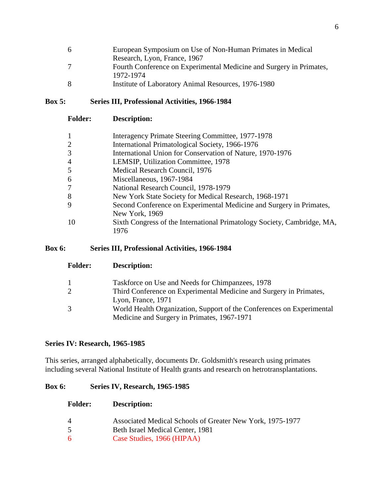| 6 | European Symposium on Use of Non-Human Primates in Medical          |
|---|---------------------------------------------------------------------|
|   | Research, Lyon, France, 1967                                        |
|   | Fourth Conference on Experimental Medicine and Surgery in Primates, |
|   | 1972-1974                                                           |
| 8 | Institute of Laboratory Animal Resources, 1976-1980                 |

#### **Box 5: Series III, Professional Activities, 1966-1984**

|                | Interagency Primate Steering Committee, 1977-1978                       |
|----------------|-------------------------------------------------------------------------|
|                | International Primatological Society, 1966-1976                         |
|                | International Union for Conservation of Nature, 1970-1976               |
| $\overline{4}$ | LEMSIP, Utilization Committee, 1978                                     |
|                | Medical Research Council, 1976                                          |
| 6              | Miscellaneous, 1967-1984                                                |
|                | National Research Council, 1978-1979                                    |
| 8              | New York State Society for Medical Research, 1968-1971                  |
|                | Second Conference on Experimental Medicine and Surgery in Primates,     |
|                | New York, 1969                                                          |
| 10             | Sixth Congress of the International Primatology Society, Cambridge, MA, |
|                | 1976                                                                    |

#### **Box 6: Series III, Professional Activities, 1966-1984**

| <u>. viuvi 1</u> | <b>D</b> COULLDUIDE                                                   |
|------------------|-----------------------------------------------------------------------|
| 1                | Taskforce on Use and Needs for Chimpanzees, 1978                      |
| 2                | Third Conference on Experimental Medicine and Surgery in Primates,    |
|                  | Lyon, France, 1971                                                    |
| 3                | World Health Organization, Support of the Conferences on Experimental |
|                  | Medicine and Surgery in Primates, 1967-1971                           |

## **Series IV: Research, 1965-1985**

This series, arranged alphabetically, documents Dr. Goldsmith's research using primates including several National Institute of Health grants and research on hetrotransplantations.

### **Box 6: Series IV, Research, 1965-1985**

#### **Folder: Description:**

**Folder: Description:**

- 4 Associated Medical Schools of Greater New York, 1975-1977
- 5 Beth Israel Medical Center, 1981
- 6 Case Studies, 1966 (HIPAA)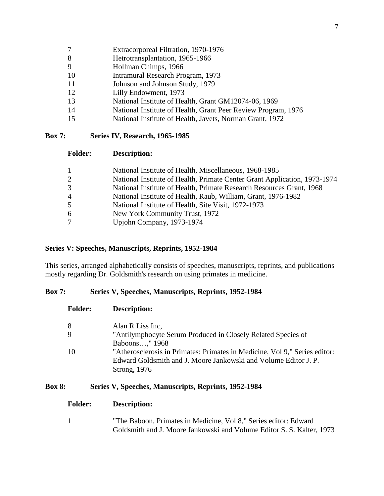- 7 Extracorporeal Filtration, 1970-1976
- 8 Hetrotransplantation, 1965-1966
- 9 Hollman Chimps, 1966
- 10 Intramural Research Program, 1973
- 11 Johnson and Johnson Study, 1979
- 12 Lilly Endowment, 1973
- 13 National Institute of Health, Grant GM12074-06, 1969
- 14 National Institute of Health, Grant Peer Review Program, 1976
- 15 National Institute of Health, Javets, Norman Grant, 1972

#### **Box 7: Series IV, Research, 1965-1985**

#### **Folder: Description:**

| 1              | National Institute of Health, Miscellaneous, 1968-1985                    |
|----------------|---------------------------------------------------------------------------|
| $\overline{2}$ | National Institute of Health, Primate Center Grant Application, 1973-1974 |
| 3              | National Institute of Health, Primate Research Resources Grant, 1968      |
| 4              | National Institute of Health, Raub, William, Grant, 1976-1982             |
| 5              | National Institute of Health, Site Visit, 1972-1973                       |
| 6.             | New York Community Trust, 1972                                            |
|                | Upjohn Company, 1973-1974                                                 |

#### **Series V: Speeches, Manuscripts, Reprints, 1952-1984**

This series, arranged alphabetically consists of speeches, manuscripts, reprints, and publications mostly regarding Dr. Goldsmith's research on using primates in medicine.

#### **Box 7: Series V, Speeches, Manuscripts, Reprints, 1952-1984**

| <b>Folder:</b> | <b>Description:</b>                                                                                                                                           |
|----------------|---------------------------------------------------------------------------------------------------------------------------------------------------------------|
|                | Alan R Liss Inc.                                                                                                                                              |
|                | "Antilymphocyte Serum Produced in Closely Related Species of<br>Baboons," 1968                                                                                |
| 10             | "Atherosclerosis in Primates: Primates in Medicine, Vol 9," Series editor:<br>Edward Goldsmith and J. Moore Jankowski and Volume Editor J. P.<br>Strong, 1976 |

#### **Box 8: Series V, Speeches, Manuscripts, Reprints, 1952-1984**

#### **Folder: Description:**

1 "The Baboon, Primates in Medicine, Vol 8," Series editor: Edward Goldsmith and J. Moore Jankowski and Volume Editor S. S. Kalter, 1973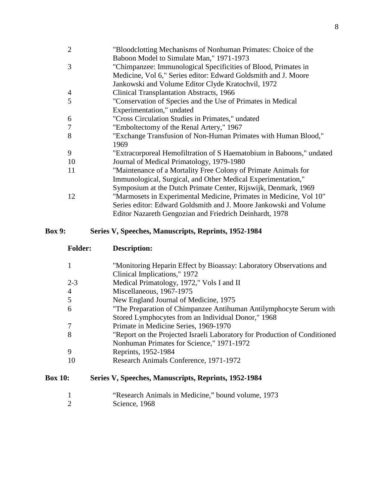| $\overline{2}$ | "Bloodclotting Mechanisms of Nonhuman Primates: Choice of the        |
|----------------|----------------------------------------------------------------------|
|                | Baboon Model to Simulate Man," 1971-1973                             |
| 3              | "Chimpanzee: Immunological Specificities of Blood, Primates in       |
|                | Medicine, Vol 6," Series editor: Edward Goldsmith and J. Moore       |
|                | Jankowski and Volume Editor Clyde Kratochvil, 1972                   |
| 4              | Clinical Transplantation Abstracts, 1966                             |
| 5              | "Conservation of Species and the Use of Primates in Medical          |
|                | Experimentation," undated                                            |
| 6              | "Cross Circulation Studies in Primates," undated                     |
| 7              | "Emboltectomy of the Renal Artery," 1967                             |
| 8              | "Exchange Transfusion of Non-Human Primates with Human Blood,"       |
|                | 1969                                                                 |
| 9              | "Extracorporeal Hemofiltration of S Haematobium in Baboons," undated |
| 10             | Journal of Medical Primatology, 1979-1980                            |
| 11             | "Maintenance of a Mortality Free Colony of Primate Animals for       |
|                | Immunological, Surgical, and Other Medical Experimentation,"         |
|                | Symposium at the Dutch Primate Center, Rijswijk, Denmark, 1969       |
| 12             | "Marmosets in Experimental Medicine, Primates in Medicine, Vol 10"   |
|                | Series editor: Edward Goldsmith and J. Moore Jankowski and Volume    |
|                | Editor Nazareth Gengozian and Friedrich Deinhardt, 1978              |
|                |                                                                      |

## **Box 9: Series V, Speeches, Manuscripts, Reprints, 1952-1984**

Science, 1968

**Folder: Description:**

| 1              | "Monitoring Heparin Effect by Bioassay: Laboratory Observations and       |
|----------------|---------------------------------------------------------------------------|
|                | Clinical Implications," 1972                                              |
| $2 - 3$        | Medical Primatology, 1972," Vols I and II                                 |
| 4              | Miscellaneous, 1967-1975                                                  |
| 5              | New England Journal of Medicine, 1975                                     |
| 6              | "The Preparation of Chimpanzee Antihuman Antilymphocyte Serum with        |
|                | Stored Lymphocytes from an Individual Donor," 1968                        |
| 7              | Primate in Medicine Series, 1969-1970                                     |
| 8              | "Report on the Projected Israeli Laboratory for Production of Conditioned |
|                | Nonhuman Primates for Science," 1971-1972                                 |
| 9              | Reprints, 1952-1984                                                       |
| 10             | Research Animals Conference, 1971-1972                                    |
| <b>Box 10:</b> | Series V, Speeches, Manuscripts, Reprints, 1952-1984                      |
|                | "Research Animals in Medicine," bound volume, 1973                        |
|                | Science, 1968                                                             |